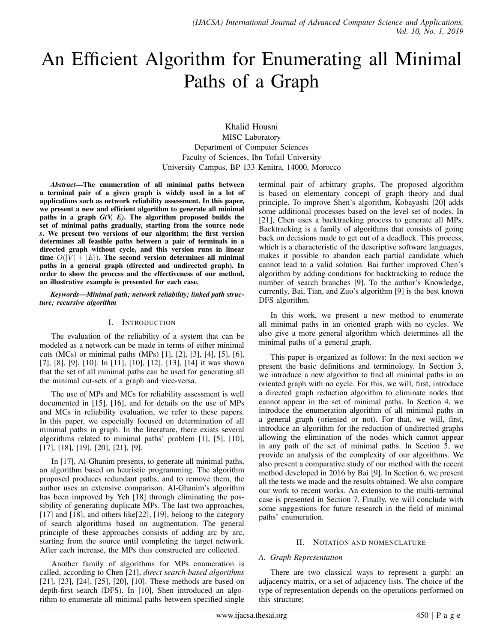# An Efficient Algorithm for Enumerating all Minimal Paths of a Graph

Khalid Housni MISC Laboratory Department of Computer Sciences Faculty of Sciences, Ibn Tofail University University Campus, BP 133 Kenitra, 14000, Morocco

*Abstract*—The enumeration of all minimal paths between a terminal pair of a given graph is widely used in a lot of applications such as network reliability assessment. In this paper, we present a new and efficient algorithm to generate all minimal paths in a graph *G(V, E)*. The algorithm proposed builds the set of minimal paths gradually, starting from the source node *s*. We present two versions of our algorithm; the first version determines all feasible paths between a pair of terminals in a directed graph without cycle, and this version runs in linear time  $O(|V| + |E|)$ . The second version determines all minimal paths in a general graph (directed and undirected graph). In order to show the process and the effectiveness of our method, an illustrative example is presented for each case.

#### *Keywords*—*Minimal path; network reliability; linked path structure; recursive algorithm*

# I. INTRODUCTION

The evaluation of the reliability of a system that can be modeled as a network can be made in terms of either minimal cuts (MCs) or minimal paths (MPs) [1], [2], [3], [4], [5], [6], [7], [8], [9], [10]. In [11], [10], [12], [13], [14] it was shown that the set of all minimal paths can be used for generating all the minimal cut-sets of a graph and vice-versa.

The use of MPs and MCs for reliability assessment is well documented in [15], [16], and for details on the use of MPs and MCs in reliability evaluation, we refer to these papers. In this paper, we especially focused on determination of all minimal paths in graph. In the literature, there exists several algorithms related to minimal paths' problem [1], [5], [10], [17], [18], [19], [20], [21], [9].

In [17], Al-Ghanim presents, to generate all minimal paths, an algorithm based on heuristic programming. The algorithm proposed produces redundant paths, and to remove them, the author uses an extensive comparison. Al-Ghanim's algorithm has been improved by Yeh [18] through eliminating the possibility of generating duplicate MPs. The last two approaches, [17] and [18], and others like[22], [19], belong to the category of search algorithms based on augmentation. The general principle of these approaches consists of adding arc by arc, starting from the source until completing the target network. After each increase, the MPs thus constructed are collected.

Another family of algorithms for MPs enumeration is called, according to Chen [21], *direct search-based algorithms* [21], [23], [24], [25], [20], [10]. These methods are based on depth-first search (DFS). In [10], Shen introduced an algorithm to enumerate all minimal paths between specified single terminal pair of arbitrary graphs. The proposed algorithm is based on elementary concept of graph theory and dual principle. To improve Shen's algorithm, Kobayashi [20] adds some additional processes based on the level set of nodes. In [21], Chen uses a backtracking process to generate all MPs. Backtracking is a family of algorithms that consists of going back on decisions made to get out of a deadlock. This process, which is a characteristic of the descriptive software languages, makes it possible to abandon each partial candidate which cannot lead to a valid solution. Bai further improved Chen's algorithm by adding conditions for backtracking to reduce the number of search branches [9]. To the author's Knowledge, currently, Bai, Tian, and Zuo's algorithm [9] is the best known DFS algorithm.

In this work, we present a new method to enumerate all minimal paths in an oriented graph with no cycles. We also give a more general algorithm which determines all the minimal paths of a general graph.

This paper is organized as follows: In the next section we present the basic definitions and terminology. In Section 3, we introduce a new algorithm to find all minimal paths in an oriented graph with no cycle. For this, we will, first, introduce a directed graph reduction algorithm to eliminate nodes that cannot appear in the set of minimal paths. In Section 4, we introduce the enumeration algorithm of all minimal paths in a general graph (oriented or not). For that, we will, first, introduce an algorithm for the reduction of undirected graphs allowing the elimination of the nodes which cannot appear in any path of the set of minimal paths. In Section 5, we provide an analysis of the complexity of our algorithms. We also present a comparative study of our method with the recent method developed in 2016 by Bai [9]. In Section 6, we present all the tests we made and the results obtained. We also compare our work to recent works. An extension to the multi-terminal case is presented in Section 7. Finally, we will conclude with some suggestions for future research in the field of minimal paths' enumeration.

# II. NOTATION AND NOMENCLATURE

# *A. Graph Representation*

There are two classical ways to represent a garph: an adjacency matrix, or a set of adjacency lists. The choice of the type of representation depends on the operations performed on this structure: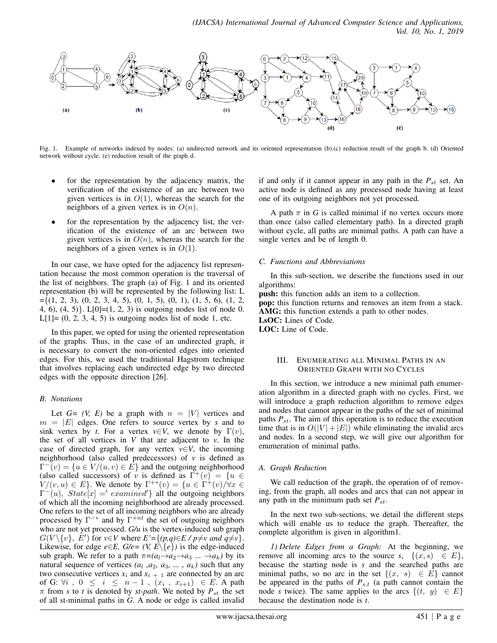

Fig. 1. Example of networks indexed by nodes: (a) undirected network and its oriented representation (b).(c) reduction result of the graph b. (d) Oriented network without cycle. (e) reduction result of the graph d.

- for the representation by the adjacency matrix, the verification of the existence of an arc between two given vertices is in  $O(1)$ , whereas the search for the neighbors of a given vertex is in  $O(n)$ .
- for the representation by the adjacency list, the verification of the existence of an arc between two given vertices is in  $O(n)$ , whereas the search for the neighbors of a given vertex is in  $O(1)$ .

In our case, we have opted for the adjacency list representation because the most common operation is the traversal of the list of neighbors. The graph (a) of Fig. 1 and its oriented representation (b) will be represented by the following list: L  $=\{(1, 2, 3), (0, 2, 3, 4, 5), (0, 1, 5), (0, 1), (1, 5, 6), (1, 2,$ 4, 6),  $(4, 5)$ . L[0]= $(1, 2, 3)$  is outgoing nodes list of node 0.  $L[1] = (0, 2, 3, 4, 5)$  is outgoing nodes list of node 1, etc.

In this paper, we opted for using the oriented representation of the graphs. Thus, in the case of an undirected graph, it is necessary to convert the non-oriented edges into oriented edges. For this, we used the traditional Hagstrom technique that involves replacing each undirected edge by two directed edges with the opposite direction [26].

## *B. Notations*

Let  $G = (V, E)$  be a graph with  $n = |V|$  vertices and  $m = |E|$  edges. One refers to source vertex by *s* and to sink vertex by *t*. For a vertex  $v \in V$ , we denote by  $\Gamma(v)$ , the set of all vertices in  $V$  that are adjacent to  $v$ . In the case of directed graph, for any vertex  $v \in V$ , the incoming neighborhood (also called predecessors) of *v* is defined as  $\Gamma^{-}(v) = \{u \in V/(u, v) \in \overline{E}\}\$ and the outgoing neighborhood (also called successors) of *v* is defined as  $\Gamma^+(v) = \{u \in$  $V/(v, u) \in E$ . We denote by  $\Gamma^{+*}(v) = \{u \in \Gamma^{+}(v)/\forall x \in$  $\Gamma^-(u)$ ,  $State[x] = 'examined'$ } all the outgoing neighbors of which all the incoming neighborhood are already processed. One refers to the set of all incoming neighbors who are already processed by  $\Gamma^{-*}$  and by  $\Gamma^{+nt}$  the set of outgoing neighbors who are not yet processed. *G/u* is the vertex-induced sub graph  $G(V \setminus \{v\}, E')$  for  $v \in V$  where  $E' = \{(p,q) \in E / p \neq v \text{ and } q \neq v\}.$ Likewise, for edge *e*∈*E*, *G*/*e*= (*V*, *E*\{*e*}) is the edge-induced sub graph. We refer to a path  $\pi = (a_1 \rightarrow a_2 \rightarrow a_3 \dots \rightarrow a_k)$  by its natural sequence of vertices  $(a_1, a_2, a_3, \ldots, a_k)$  such that any two consecutive vertices  $x_i$  and  $x_{i+1}$  are connected by an arc of G:  $\forall i$ ,  $0 \leq i \leq n-1$ ,  $(x_i, x_{i+1}) \in E$ . A path  $\pi$  from *s* to *t* is denoted by *st-path*. We noted by  $P_{st}$  the set of all st-minimal paths in *G*. A node or edge is called invalid if and only if it cannot appear in any path in the  $P_{st}$  set. An active node is defined as any processed node having at least one of its outgoing neighbors not yet processed.

A path  $\pi$  in *G* is called minimal if no vertex occurs more than once (also called elementary path). In a directed graph without cycle, all paths are minimal paths. A path can have a single vertex and be of length 0.

# *C. Functions and Abbreviations*

In this sub-section, we describe the functions used in our algorithms:

push: this function adds an item to a collection. pop: this function returns and removes an item from a stack. AMG: this function extends a path to other nodes. LsOC: Lines of Code. LOC: Line of Code.

## III. ENUMERATING ALL MINIMAL PATHS IN AN ORIENTED GRAPH WITH NO CYCLES

In this section, we introduce a new minimal path enumeration algorithm in a directed graph with no cycles. First, we will introduce a graph reduction algorithm to remove edges and nodes that cannot appear in the paths of the set of minimal paths  $P_{st}$ . The aim of this operation is to reduce the execution time that is in  $O(|V| + |E|)$  while eliminating the invalid arcs and nodes. In a second step, we will give our algorithm for enumeration of minimal paths.

# *A. Graph Reduction*

We call reduction of the graph, the operation of of removing, from the graph, all nodes and arcs that can not appear in any path in the minimum path set  $P_{st}$ .

In the next two sub-sections, we detail the different steps which will enable us to reduce the graph. Thereafter, the complete algorithm is given in algorithm1.

*1) Delete Edges from a Graph:* At the beginning, we remove all incoming arcs to the source *s*,  $\{(x, s) \in E\}$ , because the starting node is *s* and the searched paths are minimal paths, so no arc in the set  $\{(x, s) \in E\}$  cannot be appeared in the paths of  $P_{s,t}$  (a path cannot contain the node *s* twice). The same applies to the arcs  $\{(t, y) \in E\}$ because the destination node is *t*.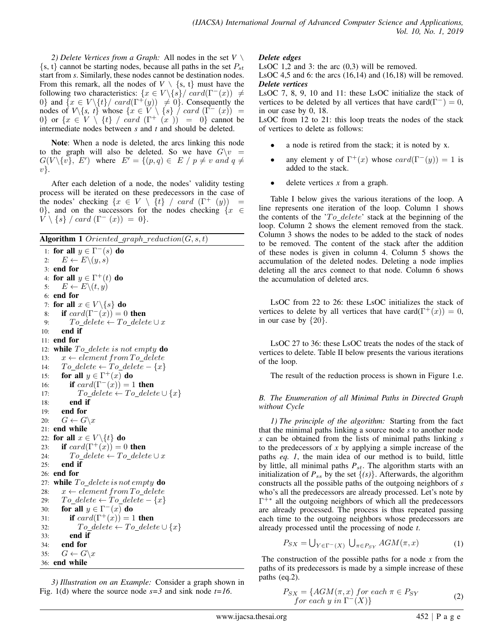*2) Delete Vertices from a Graph:* All nodes in the set *V* \  $\{s, t\}$  cannot be starting nodes, because all paths in the set  $P_{st}$ start from *s*. Similarly, these nodes cannot be destination nodes. From this remark, all the nodes of  $V \setminus \{s, t\}$  must have the following two characteristics:  $\{x \in V \setminus \{s\} / \operatorname{card}(\Gamma^{-}(x)) \neq \emptyset\}$ 0} and  $\{x \in V \setminus \{t\} / \operatorname{card}(\Gamma^+(y)) \neq 0\}$ . Consequently the nodes of  $V\{s, t\}$  whose  $\{x \in V \setminus \{s\} \mid card(\Gamma^{-}(x)) =$ 0} or  $\{x \in V \setminus \{t\} \}/card (\Gamma^+(x)) = 0\}$  cannot be intermediate nodes between *s* and *t* and should be deleted.

Note: When a node is deleted, the arcs linking this node to the graph will also be deleted. So we have  $G\backslash v =$  $G(V \setminus \{v\}, E')$  where  $E' = \{(p, q) \in E / p \neq v \text{ and } q \neq 0\}$  $v$ .

After each deletion of a node, the nodes' validity testing process will be iterated on these predecessors in the case of the nodes' checking  $\{x \in V \setminus \{t\} \}/\operatorname{card}(\Gamma^+ (y)) =$ 0, and on the successors for the nodes checking  $\{x \in$  $\overline{V} \setminus \{s\}$  / card  $(\Gamma^{-}(x)) = 0$ .

Algorithm 1 Oriented\_graph\_reduction $(G, s, t)$ 

```
1: for all y \in \Gamma^-(s) do
 2: E \leftarrow E \setminus (y, s)3: end for
 4: for all y \in \Gamma^+(t) do
 5: E \leftarrow E \setminus (t, y)6: end for
 7: for all x \in V \setminus \{s\} do
 8: if card(\Gamma^{-}(x)) = 0 then
 9: To\_delete \leftarrow To\_delete \cup x10: end if
11: end for
12: while To\_delete is not empty do
13: x \leftarrow element from To\_delete14: To\_delete \leftarrow To\_delete - \{x\}15: for all y \in \Gamma^+(x) do
16: if card(\Gamma^{-}(x)) = 1 then
17: To\_delete \leftarrow To\_delete \cup \{x\}18: end if
19: end for
20: G \leftarrow G \backslash x21: end while
22: for all x \in V \setminus \{t\} do
23: if card(\Gamma^+(x)) = 0 then
24: To\_delete \leftarrow To\_delete \cup x25: end if
26: end for
27: while To\_delete\ is\ not\ empty do
28: x \leftarrow element from To\_delete29: To\_delete \leftarrow To\_delete - \{x\}30: for all y \in \Gamma^{-}(x) do
31: if card(\Gamma^+(x)) = 1 then
32: To\_delete \leftarrow To\_delete \cup \{x\}33: end if
34: end for
35: G \leftarrow G \backslash x36: end while
```
*3) Illustration on an Example:* Consider a graph shown in Fig. 1(d) where the source node *s=3* and sink node *t=16*.

# *Delete edges*

LsOC 1,2 and 3: the arc (0,3) will be removed.

LsOC 4,5 and 6: the arcs  $(16,14)$  and  $(16,18)$  will be removed. *Delete vertices*

LsOC 7, 8, 9, 10 and 11: these LsOC initialize the stack of vertices to be deleted by all vertices that have card( $\Gamma^{-}$ ) = 0, in our case by 0, 18.

LsOC from 12 to 21: this loop treats the nodes of the stack of vertices to delete as follows:

- a node is retired from the stack; it is noted by x.
- any element y of  $\Gamma^+(x)$  whose  $card(\Gamma^-(y)) = 1$  is added to the stack.
- delete vertices  $x$  from a graph.

Table I below gives the various iterations of the loop. A line represents one iteration of the loop. Column 1 shows the contents of the  $T_0$  delete' stack at the beginning of the loop. Column 2 shows the element removed from the stack. Column 3 shows the nodes to be added to the stack of nodes to be removed. The content of the stack after the addition of these nodes is given in column 4. Column 5 shows the accumulation of the deleted nodes. Deleting a node implies deleting all the arcs connect to that node. Column 6 shows the accumulation of deleted arcs.

LsOC from 22 to 26: these LsOC initializes the stack of vertices to delete by all vertices that have card( $\Gamma^+(x)$ ) = 0, in our case by  $\{20\}$ .

LsOC 27 to 36: these LsOC treats the nodes of the stack of vertices to delete. Table II below presents the various iterations of the loop.

The result of the reduction process is shown in Figure 1.e.

# *B. The Enumeration of all Minimal Paths in Directed Graph without Cycle*

*1) The principle of the algorithm:* Starting from the fact that the minimal paths linking a source node *s* to another node *x* can be obtained from the lists of minimal paths linking *s* to the predecessors of *x* by applying a simple increase of the paths *eq. 1*, the main idea of our method is to build, little by little, all minimal paths  $P_{st}$ . The algorithm starts with an initialization of  $P_{ss}$  by the set  $\{(s)\}\)$ . Afterwards, the algorithm constructs all the possible paths of the outgoing neighbors of *s* who's all the predecessors are already processed. Let's note by Γ +∗ all the outgoing neighbors of which all the predecessors are already processed. The process is thus repeated passing each time to the outgoing neighbors whose predecessors are already processed until the processing of node *t*.

$$
P_{SX} = \bigcup_{Y \in \Gamma^{-}(X)} \bigcup_{\pi \in P_{SY}} AGM(\pi, x)
$$
 (1)

The construction of the possible paths for a node *x* from the paths of its predecessors is made by a simple increase of these paths (eq.2).

$$
P_{SX} = \{AGM(\pi, x) \text{ for each } \pi \in P_{SY} \text{ for each } y \text{ in } \Gamma^-(X)\}\
$$
 (2)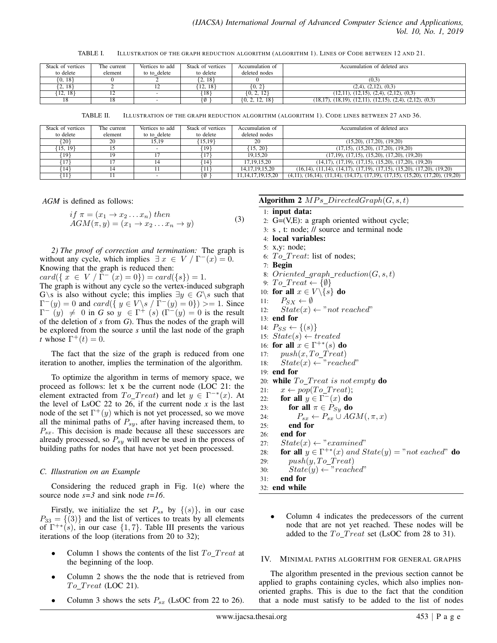TABLE I. ILLUSTRATION OF THE GRAPH REDUCTION ALGORITHM (ALGORITHM 1). LINES OF CODE BETWEEN 12 AND 21.

| Stack of vertices | The current    | Vertices to add | Stack of vertices | Accumulation of    | Accumulation of deleted arcs                                                 |
|-------------------|----------------|-----------------|-------------------|--------------------|------------------------------------------------------------------------------|
| to delete         | element        | to to delete    | to delete         | deleted nodes      |                                                                              |
| ${0, 18}$         |                |                 | 18<br><u>.</u>    |                    | (0.3)                                                                        |
| 2, 18             |                |                 | 12.<br>18         | [0, 2]             | $(2,4)$ , $(2,12)$ , $(0,3)$                                                 |
| [12, 18]          | $\overline{ }$ |                 | 18                | 2.12               | $(12,11), (12,15), (2,4), (2,12), (0,3)$                                     |
| 18                | 18             | $\sim$          |                   | $\{0, 2, 12, 18\}$ | $(18,17)$ , $(18,19)$ , $(12,11)$ , $(12,15)$ , $(2,4)$ , $(2,12)$ , $(0,3)$ |

TABLE II. ILLUSTRATION OF THE GRAPH REDUCTION ALGORITHM (ALGORITHM 1). CODE LINES BETWEEN 27 AND 36.

| Stack of vertices | The current | Vertices to add          | Stack of vertices | Accumulation of        | Accumulation of deleted arcs                                                                             |
|-------------------|-------------|--------------------------|-------------------|------------------------|----------------------------------------------------------------------------------------------------------|
| to delete         | element     | to to delete             | to delete         | deleted nodes          |                                                                                                          |
| ${20}$            | 20          | 15.19                    | {15.19}           | 20                     | (15,20), (17,20), (19,20)                                                                                |
| $\{15, 19\}$      |             |                          | [19]              | ${15, 20}$             | $(17,15)$ , $(15,20)$ , $(17,20)$ , $(19,20)$                                                            |
| [19]              | 19          |                          |                   | 19.15.20               | $(17,19)$ , $(17,15)$ , $(15,20)$ , $(17,20)$ , $(19,20)$                                                |
| 17                |             |                          | 14                | 17, 19, 15, 20         | $(14,17)$ , $(17,19)$ , $(17,15)$ , $(15,20)$ , $(17,20)$ , $(19,20)$                                    |
| (14)              |             |                          |                   | 14, 17, 19, 15, 20     | $(16,14)$ , $(11,14)$ , $(14,17)$ , $(17,19)$ , $(17,15)$ , $(15,20)$ , $(17,20)$ , $(19,20)$            |
| {11}              |             | $\overline{\phantom{a}}$ |                   | 11, 14, 17, 19, 15, 20 | $(4,11)$ , $(16,14)$ , $(11,14)$ , $(14,17)$ , $(17,19)$ , $(17,15)$ , $(15,20)$ , $(17,20)$ , $(19,20)$ |

*AGM* is defined as follows:

$$
if \ \pi = (x_1 \to x_2 \dots x_n) \ thenAGM(\pi, y) = (x_1 \to x_2 \dots x_n \to y)
$$
 (3)

*2) The proof of correction and termination:* The graph is without any cycle, which implies  $\exists x \in V / \Gamma^{-1}(x) = 0$ . Knowing that the graph is reduced then:

 $card({x \in V / \Gamma^{-}(x) = 0}) = card({s}) = 1.$ 

The graph is without any cycle so the vertex-induced subgraph G\s is also without cycle; this implies  $\exists y \in G \setminus s$  such that  $\Gamma^{-}(y) = 0$  and  $card(\{ y \in V \setminus s \mid \Gamma^{-}(y) = 0 \}) \geq 1$ . Since  $\Gamma^{-} (y) \neq 0$  in *G* so  $y \in \Gamma^{+} (s)$  ( $\Gamma^{-} (y) = 0$  is the result of the deletion of *s* from *G*). Thus the nodes of the graph will be explored from the source *s* until the last node of the graph *t* whose  $\Gamma^+(t) = 0$ .

The fact that the size of the graph is reduced from one iteration to another, implies the termination of the algorithm.

To optimize the algorithm in terms of memory space, we proceed as follows: let x be the current node (LOC 21: the element extracted from  $To_Treat$  and let  $y \in \Gamma^{-*}(x)$ . At the level of LsOC 22 to 26, if the current node  $x$  is the last node of the set  $\Gamma^+(y)$  which is not yet processed, so we move all the minimal paths of  $P_{sy}$ , after having increased them, to  $P_{sx}$ . This decision is made because all these successors are already processed, so  $P_{s\gamma}$  will never be used in the process of building paths for nodes that have not yet been processed.

#### *C. Illustration on an Example*

Considering the reduced graph in Fig. 1(e) where the source node *s=3* and sink node *t=16*.

Firstly, we initialize the set  $P_{ss}$  by  $\{(s)\}\)$ , in our case  $P_{33} = \{(3)\}\$ and the list of vertices to treats by all elements of  $\Gamma^{+*}(s)$ , in our case  $\{1, 7\}$ . Table III presents the various iterations of the loop (iterations from 20 to 32);

- Column 1 shows the contents of the list  $To_Treat$  at the beginning of the loop.
- Column 2 shows the the node that is retrieved from  $To$  Treat (LOC 21).
- Column 3 shows the sets  $P_{sx}$  (LsOC from 22 to 26).

#### Algorithm 2  $MPs\_DirectedGraph(G, s, t)$

- 1: input data:
- 2:  $G=(V,E)$ : a graph oriented without cycle;
- 3: s , t: node; // source and terminal node
- 4: local variables:
- 5: x,y: node;
- 6:  $To$   $Treat$ : list of nodes;
- 7: Begin
- 8: Oriented graph reduction  $(G, s, t)$
- 9:  $To_Treat \leftarrow \{\emptyset\}$
- 10: for all  $x \in V \backslash \{s\}$  do
- 11:  $P_{SX} \leftarrow \emptyset$
- 12:  $State(x) \leftarrow "not reached"$
- 13: end for
- 14:  $P_{SS} \leftarrow \{(s)\}$
- 15:  $State(s) \leftarrow treated$
- 16: for all  $x \in \Gamma^{+*}(s)$  do
- 17:  $push(x, To_Treat)$
- 18:  $State(x) \leftarrow "reached"$
- 19: end for
- 20: while  $To_Treat$  is not empty do
- 21:  $x \leftarrow pop(To \text{ Treat});$
- 22: for all  $y \in \Gamma^{-}(x)$  do
- 23: **for all**  $\pi \in P_{Sy}$  **do**
- 24:  $P_{sx} \leftarrow P_{sx} \cup AGM(\pi, x)$
- 25: end for
- 26: end for
- 27:  $State(x) \leftarrow "examined"$
- 28: **for all**  $y \in \Gamma^{+*}(x)$  and  $State(y) = "not\; eached"$  **do**
- 29:  $push(y, To_Treat)$
- 30:  $State(y) \leftarrow "reached"$ 31: end for
- 32: end while
	- Column 4 indicates the predecessors of the current node that are not yet reached. These nodes will be added to the  $To_Treat$  set (LsOC from 28 to 31).

#### IV. MINIMAL PATHS ALGORITHM FOR GENERAL GRAPHS

The algorithm presented in the previous section cannot be applied to graphs containing cycles, which also implies nonoriented graphs. This is due to the fact that the condition that a node must satisfy to be added to the list of nodes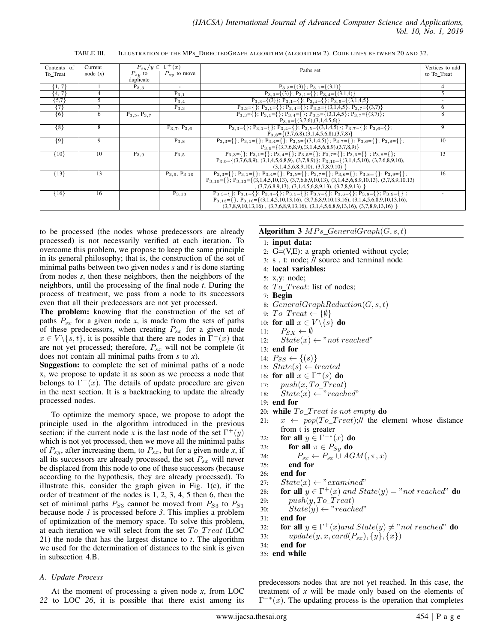TABLE III. ILLUSTRATION OF THE MPS DIRECTEDGRAPH ALGORITHM (ALGORITHM 2). CODE LINES BETWEEN 20 AND 32.

| Contents of        | Current         | $P_{s}y/y \in \Gamma^+(x)$ |                        | Paths set                                                                                                                                   | Vertices to add |
|--------------------|-----------------|----------------------------|------------------------|---------------------------------------------------------------------------------------------------------------------------------------------|-----------------|
| To Treat           | node(x)         | $\overline{P}_{sy}$ to     | $P_{sy}$ to move       |                                                                                                                                             | to To_Treat     |
|                    |                 | duplicate                  |                        |                                                                                                                                             |                 |
| $\{1, 7\}$         |                 | $P_{3,3}$                  |                        | $P_{3,3} = \{(3)\}; P_{3,1} = \{(3,1)\}\$                                                                                                   |                 |
| $\{4, 7\}$         | 4               |                            | $P_{3.1}$              | $P_{3,3} = \{(3)\}; P_{3,1} = \{\}; P_{3,4} = \{(3,1,4)\}\$                                                                                 |                 |
| ${5,7}$            | 5               |                            | $P_{3,4}$              | $P_{3,3} = \{(3)\}; P_{3,1} = \{\}; P_{3,4} = \{\}; P_{3,5} = \{(3,1,4,5)\}$                                                                |                 |
| $\overline{\{7\}}$ | 7               |                            | $P_{3,3}$              | $P_{3,3} = \{\}; P_{3,1} = \{\}; P_{3,4} = \{\}; P_{3,5} = \{(3,1,4,5), P_{3,7} = \{(3,7)\}\}$                                              | 6               |
| $\overline{\{6\}}$ | 6               | $P_{3.5}, P_{3.7}$         |                        | $P_{3,3}=\{\}\;; P_{3,1}=\{\}\;; P_{3,4}=\{\}\;; P_{3,5}=\{(3,1,4,5)\;; P_{3,7}=\{(3,7)\}\;;$                                               | 8               |
|                    |                 |                            |                        | $P_{3.6} = \{(3,7,6), (3,1,4,5,6)\}$                                                                                                        |                 |
| ${8}$              | $\overline{8}$  |                            | $P_{3.7}$ , $P_{3.6}$  | $P_{3,3} = \{\}; P_{3,1} = \{\}; P_{3,4} = \{\}; P_{3,5} = \{(3,1,4,5)\}; P_{3,7} = \{\}; P_{3,6} = \{\};$                                  | 9               |
|                    |                 |                            |                        | $P_{3.8} = \{(3,7,6,8), (3,1,4,5,6,8), (3,7,8)\}$                                                                                           |                 |
| ${9}$              | 9               |                            | $P_{3,8}$              | $P_{3,3}=\{\}\;; P_{3,1}=\{\}\;; P_{3,4}=\{\}\;; P_{3,5}=\{(3,1,4,5)\}; P_{3,7}=\{\}\;; P_{3,6}=\{\}\;; P_{3,8}=\{\}\;;$                    | 10              |
|                    |                 |                            |                        | $P_{3.9} = \{(3,7,6,8,9), (3,1,4,5,6,8,9), (3,7,8,9)\}$                                                                                     |                 |
| ${10}$             | $\overline{10}$ | $P_{3,9}$                  | $P_{3.5}$              | $P_{3,3}=\{\}; P_{3,1}=\{\}; P_{3,4}=\{\}; P_{3,5}=\{\}; P_{3,7}=\{\}; P_{3,6}=\{\}\;; P_{3,8}=\{\};$                                       | 13              |
|                    |                 |                            |                        | $P_{3,9} = \{(3,7,6,8,9), (3,1,4,5,6,8,9), (3,7,8,9)\}; P_{3,10} = \{(3,1,4,5,10), (3,7,6,8,9,10),$                                         |                 |
|                    |                 |                            |                        | (3,1,4,5,6,8,9,10), (3,7,8,9,10)                                                                                                            |                 |
| ${13}$             | 13              |                            | $P_{3.9}$ , $P_{3.10}$ | $P_{3,3} = \{\}; P_{3,1} = \{\}; P_{3,4} = \{\}; P_{3,5} = \{\}; P_{3,7} = \{\}; P_{3,6} = \{\}; P_{3,8} = \{\}; P_{3,9} = \{\};$           | 16              |
|                    |                 |                            |                        | $P_{3,10} = \{ \}$ ; $P_{3,13} = \{ (3,1,4,5,10,13), (3,7,6,8,9,10,13), (3,1,4,5,6,8,9,10,13), (3,7,8,9,10,13) \}$                          |                 |
|                    |                 |                            |                        | $(3,7,6,8,9,13), (3,1,4,5,6,8,9,13), (3,7,8,9,13)$                                                                                          |                 |
| ${16}$             | 16              |                            | $P_{3,13}$             | $P_{3,3}=\{\}\;; P_{3,1}=\{\}\;; \overline{P_{3,4}=\{\}\;; P_{3,5}=\{\}\;; P_{3,7}=\{\}\;; P_{3,6}=\{\}\;; P_{3,8}=\{\}\;; P_{3,9}=\{\}\;;$ |                 |
|                    |                 |                            |                        | $P_{3,13} = \{\}, P_{3,16} = \{(3,1,4,5,10,13,16), (3,7,6,8,9,10,13,16), (3,1,4,5,6,8,9,10,13,16),$                                         |                 |
|                    |                 |                            |                        | $(3,7,8,9,10,13,16)$ , $(3,7,6,8,9,13,16)$ , $(3,1,4,5,6,8,9,13,16)$ , $(3,7,8,9,13,16)$                                                    |                 |

to be processed (the nodes whose predecessors are already processed) is not necessarily verified at each iteration. To overcome this problem, we propose to keep the same principle in its general philosophy; that is, the construction of the set of minimal paths between two given nodes *s* and *t* is done starting from nodes *s*, then these neighbors, then the neighbors of the neighbors, until the processing of the final node *t*. During the process of treatment, we pass from a node to its successors even that all their predecessors are not yet processed.

The problem: knowing that the construction of the set of paths  $P_{sx}$  for a given node x, is made from the sets of paths of these predecessors, when creating  $P_{sx}$  for a given node  $x \in V \setminus \{s, t\}$ , it is possible that there are nodes in  $\Gamma^{-}(x)$  that are not yet processed; therefore,  $P_{sx}$  will not be complete (it does not contain all minimal paths from *s* to *x*).

Suggestion: to complete the set of minimal paths of a node x, we propose to update it as soon as we process a node that belongs to  $\Gamma^{-}(x)$ . The details of update procedure are given in the next section. It is a backtracking to update the already processed nodes.

To optimize the memory space, we propose to adopt the principle used in the algorithm introduced in the previous section; if the current node *x* is the last node of the set  $\Gamma^+(y)$ which is not yet processed, then we move all the minimal paths of  $P_{sy}$ , after increasing them, to  $P_{sx}$ , but for a given node *x*, if all its successors are already processed, the set  $P_{sx}$  will never be displaced from this node to one of these successors (because according to the hypothesis, they are already processed). To illustrate this, consider the graph given in Fig. 1(c), if the order of treatment of the nodes is 1, 2, 3, 4, 5 then 6, then the set of minimal paths  $P_{S3}$  cannot be moved from  $P_{S3}$  to  $P_{S1}$ because node *1* is processed before *3*. This implies a problem of optimization of the memory space. To solve this problem, at each iteration we will select from the set  $To_Treat$  (LOC 21) the node that has the largest distance to *t*. The algorithm we used for the determination of distances to the sink is given in subsection 4.B.

#### *A. Update Process*

At the moment of processing a given node *x*, from LOC *22* to LOC *26*, it is possible that there exist among its

## Algorithm 3  $MPs\_GeneralGraph(G, s, t)$

- 1: input data:
- 2: G=(V,E): a graph oriented without cycle;
- 3: s , t: node; // source and terminal node
- 4: local variables:
- 5: x,y: node;
- 6:  $To Treat:$  list of nodes;
- 7: Begin
- 8:  $GeneralGraphReduction(G, s, t)$
- 9:  $To_Treat \leftarrow \{\emptyset\}$
- 10: for all  $x \in V \backslash \{s\}$  do
- 11:  $P_{SX} \leftarrow \emptyset$
- 12:  $State(x) \leftarrow "not reached"$
- 13: end for
- 14:  $P_{SS} \leftarrow \{(s)\}$
- 15:  $State(s) \leftarrow treated$
- 16: for all  $x \in \Gamma^+(s)$  do
- 17:  $push(x, To_Treat)$
- 18:  $State(x) \leftarrow "reached"$
- 19: end for
- 20: while  $To_Treat$  is not empty do
- 21:  $x \leftarrow pop(To_Treat);$  the element whose distance from t is greater
- 22: for all  $y \in \Gamma^{-*}(x)$  do
- 23: for all  $\pi \in P_{Su}$  do
- 24:  $P_{sx} \leftarrow P_{sx} \cup AGM(,\pi,x)$
- 25: end for
- 26: end for
- 27:  $State(x) \leftarrow "examined"$
- 28: **for all**  $y \in \Gamma^+(x)$  and  $State(y) = "not reached"$  **do**
- 29:  $push(y, To_Treat)$
- 30:  $State(y) \leftarrow "reached"$
- 31: end for
- 32: **for all**  $y \in \Gamma^+(x)$  and  $State(y) \neq "not reached"$  **do**
- 33:  $update(y, x, card(P_{sx}), \{y\}, \{x\})$
- 34: end for
- 35: end while

predecessors nodes that are not yet reached. In this case, the treatment of *x* will be made only based on the elements of  $\Gamma^{-*}(x)$ . The updating process is the operation that completes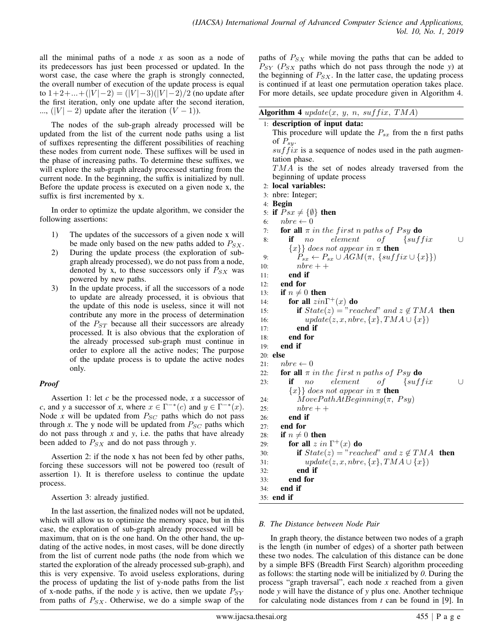all the minimal paths of a node *x* as soon as a node of its predecessors has just been processed or updated. In the worst case, the case where the graph is strongly connected, the overall number of execution of the update process is equal to 1+2+...+(|V|−2) = (|V|−3)(|V|−2)/2 (no update after the first iteration, only one update after the second iteration, ...,  $(|V| - 2)$  update after the iteration  $(V - 1)$ ).

The nodes of the sub-graph already processed will be updated from the list of the current node paths using a list of suffixes representing the different possibilities of reaching these nodes from current node. These suffixes will be used in the phase of increasing paths. To determine these suffixes, we will explore the sub-graph already processed starting from the current node. In the beginning, the suffix is initialized by null. Before the update process is executed on a given node x, the suffix is first incremented by x.

In order to optimize the update algorithm, we consider the following assertions:

- 1) The updates of the successors of a given node x will be made only based on the new paths added to  $P_{SX}$ .
- 2) During the update process (the exploration of subgraph already processed), we do not pass from a node, denoted by x, to these successors only if  $P_{SX}$  was powered by new paths.
- 3) In the update process, if all the successors of a node to update are already processed, it is obvious that the update of this node is useless, since it will not contribute any more in the process of determination of the  $P_{ST}$  because all their successors are already processed. It is also obvious that the exploration of the already processed sub-graph must continue in order to explore all the active nodes; The purpose of the update process is to update the active nodes only.

# *Proof*

Assertion 1: let *c* be the processed node, *x* a successor of *c*, and *y* a successor of *x*, where  $x \in \Gamma^{-*}(c)$  and  $y \in \Gamma^{-*}(x)$ . Node  $x$  will be updated from  $P_{SC}$  paths which do not pass through  $x$ . The y node will be updated from  $P_{SC}$  paths which do not pass through *x* and *y*, i.e. the paths that have already been added to  $P_{SX}$  and do not pass through *y*.

Assertion 2: if the node x has not been fed by other paths, forcing these successors will not be powered too (result of assertion 1). It is therefore useless to continue the update process.

Assertion 3: already justified.

In the last assertion, the finalized nodes will not be updated, which will allow us to optimize the memory space, but in this case, the exploration of sub-graph already processed will be maximum, that on is the one hand. On the other hand, the updating of the active nodes, in most cases, will be done directly from the list of current node paths (the node from which we started the exploration of the already processed sub-graph), and this is very expensive. To avoid useless explorations, during the process of updating the list of y-node paths from the list of x-node paths, if the node  $y$  is active, then we update  $P_{SY}$ from paths of  $P_{SX}$ . Otherwise, we do a simple swap of the

paths of  $P_{SX}$  while moving the paths that can be added to  $P_{SY}$  ( $P_{SX}$  paths which do not pass through the node *y*) at the beginning of  $P_{SX}$ . In the latter case, the updating process is continued if at least one permutation operation takes place. For more details, see update procedure given in Algorithm 4.

| Algorithm 4 $update(x, y, n, suffix, TMA)$                            |
|-----------------------------------------------------------------------|
| 1: description of input data:                                         |
| This procedure will update the $P_{sx}$ from the n first paths        |
| of $P_{su}$ .                                                         |
| $suffix$ is a sequence of nodes used in the path augmen-              |
| tation phase.                                                         |
| $TMA$ is the set of nodes already traversed from the                  |
| beginning of update process                                           |
| 2: local variables:                                                   |
| 3: nbre: Integer;                                                     |
| 4: Begin                                                              |
| if $Psx \neq \{\emptyset\}$ then<br>5:                                |
| $nbre \leftarrow 0$<br>6:                                             |
| for all $\pi$ in the first n paths of Psy do<br>7:                    |
| element<br>of<br>$\{suffix$<br>if<br>8:<br>n o<br>U                   |
| ${x}$ } does not appear in $\pi$ then                                 |
| $P_{sx} \leftarrow P_{sx} \cup AGM(\pi, \{suffix \cup \{x\}\})$<br>9: |
| $nbre + +$<br>10:                                                     |
| end if<br>11:                                                         |
| end for<br>12:                                                        |
| if $n \neq 0$ then<br>13:                                             |
| for all $zin\Gamma^+(x)$ do<br>14:                                    |
| if $State(z) = "reached"$ and $z \notin TMA$ then<br>15:              |
| $update(z, x, nbre, \{x\}, TMA \cup \{x\})$<br>16:                    |
| end if<br>17:                                                         |
| end for<br>18:                                                        |
| end if<br>19:                                                         |
| 20: else                                                              |
| $nbre \leftarrow 0$<br>21:                                            |
| for all $\pi$ in the first n paths of Psy do<br>22:                   |
| of<br>element<br>$\{suffix$<br>if<br>n o<br>U<br>23:                  |
| $\{x\}$ does not appear in $\pi$ then                                 |
| $MovePathAtBeginning(\pi, Py)$<br>24:                                 |
| $nbre++$<br>25:                                                       |
| end if<br>26:                                                         |
| end for<br>27:                                                        |
| if $n \neq 0$ then<br>28:                                             |
| for all $z$ in $\Gamma^+(x)$ do<br>29:                                |
| if $State(z) = "reached"$ and $z \notin TMA$ then<br>30:              |
| $update(z, x, nbre, \{x\}, TMA \cup \{x\})$<br>31:                    |
| end if<br>32:                                                         |
| end for<br>33:                                                        |
| end if<br>34:                                                         |
| 35: <b>end if</b>                                                     |

# *B. The Distance between Node Pair*

In graph theory, the distance between two nodes of a graph is the length (in number of edges) of a shorter path between these two nodes. The calculation of this distance can be done by a simple BFS (Breadth First Search) algorithm proceeding as follows: the starting node will be initialized by *0*. During the process "graph traversal", each node *x* reached from a given node *y* will have the distance of *y* plus one. Another technique for calculating node distances from *t* can be found in [9]. In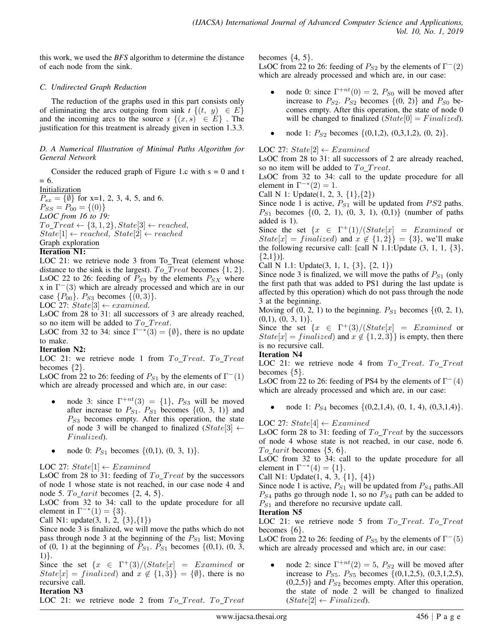this work, we used the *BFS* algorithm to determine the distance of each node from the sink.

# *C. Undirected Graph Reduction*

The reduction of the graphs used in this part consists only of eliminating the arcs outgoing from sink  $t \{(t, y) \in E\}$ and the incoming arcs to the source  $s \{(x, s) \in E\}$ . The justification for this treatment is already given in section 1.3.3.

# *D. A Numerical Illustration of Minimal Paths Algorithm for General Network*

Consider the reduced graph of Figure 1.c with  $s = 0$  and t  $= 6.$ 

**Initialization**  $P_{sx} = \{\emptyset\}$  for x=1, 2, 3, 4, 5, and 6.  $P_{SS} = P_{00} = \{(0)\}\$ *LsOC from 16 to 19:*  $To\_Treat \leftarrow \{3, 1, 2\}, State[3] \leftarrow reached,$  $State[1] \leftarrow reached, State[2] \leftarrow reached$ Graph exploration

# Iteration N1:

LOC 21: we retrieve node 3 from To\_Treat (element whose distance to the sink is the largest).  $To_Treat$  becomes  $\{1, 2\}$ . LsOC 22 to 26: feeding of  $P_{S3}$  by the elements  $P_{SX}$  where x in  $\Gamma$ <sup>-</sup>(3) which are already processed and which are in our case  $\{P_{00}\}\text{. } P_{S3}$  becomes  $\{(0,3)\}\text{.}$ 

LOC 27:  $State[3] \leftarrow examined$ .

LsOC from 28 to 31: all successors of 3 are already reached, so no item will be added to  $To$   $Treat.$ 

LsOC from 32 to 34: since  $\Gamma^{-*}(3) = \{ \emptyset \}$ , there is no update to make.

# Iteration N2:

LOC 21: we retrieve node 1 from  $To_Treat$ .  $To_Treat$ becomes {2}.

LsOC from 22 to 26: feeding of  $P_{S1}$  by the elements of  $\Gamma^{-}(1)$ which are already processed and which are, in our case:

- node 3: since  $\Gamma^{+nt}(3) = \{1\}$ ,  $P_{S3}$  will be moved after increase to  $P_{S1}$ .  $P_{S1}$  becomes  $\{(0, 3, 1)\}\$  and  $P_{S3}$  becomes empty. After this operation, the state of node 3 will be changed to finalized  $(State[3] \leftarrow$ Finalized).
- node 0:  $P_{S1}$  becomes  $\{(0,1), (0, 3, 1)\}.$

LOC 27:  $State[1] \leftarrow Examined$ 

LsOC from 28 to 31: feeding of  $To_Treat$  by the successors of node 1 whose state is not reached, in our case node 4 and node 5.  $To$ \_tarit becomes  $\{2, 4, 5\}$ .

LsOC from 32 to 34: call to the update procedure for all element in  $\Gamma^{-*}(1) = \{3\}.$ 

Call N1: update $(3, 1, 2, \{3\}, \{1\})$ 

Since node 3 is finalized, we will move the paths which do not pass through node 3 at the beginning of the  $P_{S1}$  list; Moving of (0, 1) at the beginning of  $P_{S1}$ .  $P_{S1}$  becomes {(0,1), (0, 3, 1)}.

Since the set  $\{x \in \Gamma^+(3)/(State[x] = Example]$  $State[x] = finalized$  and  $x \notin \{1, 3\}$  = {0}, there is no recursive call.

# Iteration N3

LOC 21: we retrieve node 2 from  $To_Treat$ .  $To_Treat$ 

becomes  $\{4, 5\}$ .

LsOC from 22 to 26: feeding of  $P_{S2}$  by the elements of  $\Gamma^{-}(2)$ which are already processed and which are, in our case:

- node 0: since  $\Gamma^{+nt}(0) = 2$ ,  $P_{S0}$  will be moved after increase to  $P_{S2}$ .  $P_{S2}$  becomes  $\{(0, 2)\}$  and  $P_{S0}$  becomes empty. After this operation, the state of node 0 will be changed to finalized  $(State[0] = Finalized)$ .
- node 1:  $P_{S2}$  becomes  $\{(0,1,2), (0,3,1,2), (0, 2)\}.$

LOC 27:  $State[2] \leftarrow Examined$ 

LsOC from 28 to 31: all successors of 2 are already reached, so no item will be added to  $To\_Treat$ .

LsOC from 32 to 34: call to the update procedure for all element in  $\Gamma^{-*}(2) = 1$ .

Call N 1: Update $(1, 2, 3, \{1\}, \{2\})$ 

Since node 1 is active,  $P_{S1}$  will be updated from  $PS2$  paths.  $P_{S1}$  becomes  $\{(0, 2, 1), (0, 3, 1), (0,1)\}$  (number of paths added is 1).

Since the set  $\{x \in \Gamma^+(1) / (State[x] = Example] \}$  $State[x] = finalized$  and  $x \notin \{1, 2\}\} = \{3\}$ , we'll make the following recursive call: [call N 1.1:Update  $(3, 1, 1, \{3\})$ ,  $\{2,1\}\}.$ 

Call N 1.1: Update $(3, 1, 1, \{3\}, \{2, 1\})$ 

Since node 3 is finalized, we will move the paths of  $P_{S1}$  (only the first path that was added to PS1 during the last update is affected by this operation) which do not pass through the node 3 at the beginning.

Moving of  $(0, 2, 1)$  to the beginning.  $P_{S1}$  becomes  $\{(0, 2, 1),\}$  $(0,1), (0, 3, 1)$ .

Since the set  $\{x \in \Gamma^+(3)/\text{(State}[x] = Example of x) \}$  $State[x] = finalized$ ) and  $x \notin \{1, 2, 3\}$  is empty, then there is no recursive call.

## Iteration N4

LOC 21: we retrieve node 4 from  $To_Treat$ .  $To_Treat$ becomes {5}.

LsOC from 22 to 26: feeding of PS4 by the elements of  $\Gamma^{-}(4)$ which are already processed and which are, in our case:

node 1:  $P_{S4}$  becomes  $\{(0,2,1,4), (0, 1, 4), (0,3,1,4)\}.$ 

LOC 27:  $State[4] \leftarrow Examined$ 

LsOC form 28 to 31: feeding of  $To_Treat$  by the successors of node 4 whose state is not reached, in our case, node 6.  $To\_tarit$  becomes  $\{5, 6\}.$ 

LsOC from 32 to 34: call to the update procedure for all element in  $\Gamma^{-*}(4) = \{1\}.$ 

Call N1: Update $(1, 4, 3, \{1\}, \{4\})$ 

Since node 1 is active,  $P_{S1}$  will be updated from  $P_{S4}$  paths.All  $P_{S4}$  paths go through node 1, so no  $P_{S4}$  path can be added to  $P_{S1}$  and therefore no recursive update call.

## Iteration N5

LOC 21: we retrieve node 5 from  $To_Treat$ .  $To_Treat$ becomes  $\{6\}.$ 

LsOC from 22 to 26: feeding of  $P_{S5}$  by the elements of  $\Gamma$ <sup>-</sup>(5) which are already processed and which are, in our case:

• node 2: since  $\Gamma^{+nt}(2) = 5$ ,  $P_{S2}$  will be moved after increase to  $P_{S5}$ .  $P_{S5}$  becomes {(0,1,2,5), (0,3,1,2,5),  $(0,2,5)$ } and  $P_{S2}$  becomes empty. After this operation, the state of node 2 will be changed to finalized  $(State[2] \leftarrow Finalized).$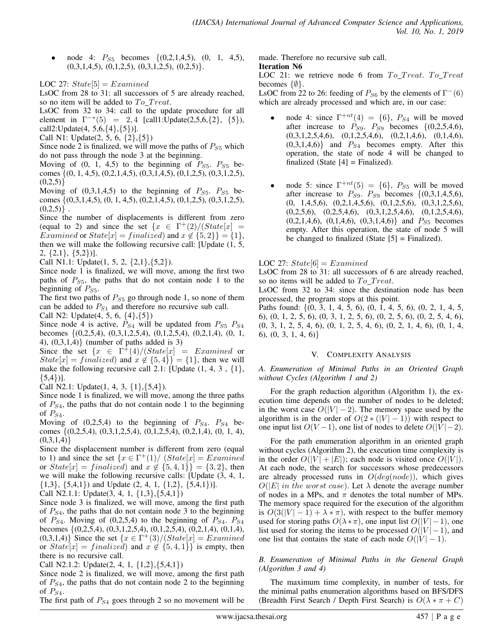node 4:  $P_{S5}$  becomes  $\{(0,2,1,4,5), (0, 1, 4,5),$  $(0,3,1,4,5), (0,1,2,5), (0,3,1,2,5), (0,2,5)$ .

LOC 27:  $State[5] = Examined$ 

LsOC from 28 to 31: all successors of 5 are already reached, so no item will be added to  $To_Treat$ .

LsOC from 32 to 34: call to the update procedure for all element in  $\Gamma^{-*}(5) = 2,4$  [call1:Update(2,5,6,{2}, {5}), call2:Update(4, 5,6,{4},{5})].

Call N1: Update(2, 5, 6, {2},{5})

Since node 2 is finalized, we will move the paths of  $P_{S5}$  which do not pass through the node 3 at the beginning.

Moving of  $(0, 1, 4, 5)$  to the beginning of  $P_{S_5}$ .  $P_{S_5}$  becomes {(0, 1, 4,5), (0,2,1,4,5), (0,3,1,4,5), (0,1,2,5), (0,3,1,2,5),  $(0,2,5)$ 

Moving of  $(0,3,1,4,5)$  to the beginning of  $P_{S5}$ .  $P_{S5}$  becomes {(0,3,1,4,5), (0, 1, 4,5), (0,2,1,4,5), (0,1,2,5), (0,3,1,2,5),  $(0,2,5)$ .

Since the number of displacements is different from zero (equal to 2) and since the set  $\{x \in \Gamma^+(2) / (State[x])\}$ Examined or  $State[x] = finalized$  and  $x \notin \{5, 2\}\} = \{1\},\$ then we will make the following recursive call: [Update (1, 5, 2, {2,1}, {5,2})].

Call N1.1: Update(1, 5, 2,  $\{2,1\}, \{5,2\}$ ).

Since node 1 is finalized, we will move, among the first two paths of  $P_{S_5}$ , the paths that do not contain node 1 to the beginning of  $P_{S5}$ .

The first two paths of  $P_{S5}$  go through node 1, so none of them can be added to  $P_{S1}$  and therefore no recursive sub call. Call N2: Update $(4, 5, 6, \{4\}, \{5\})$ 

Since node 4 is active,  $P_{S4}$  will be updated from  $P_{S5}$   $P_{S4}$ becomes {(0,2,5,4), (0,3,1,2,5,4), (0,1,2,5,4), (0,2,1,4), (0, 1, 4),  $(0,3,1,4)$  (number of paths added is 3)

Since the set  $\{x \in \Gamma^{\ddagger}(4)/(State[x] = Example]$  $State[x] = finalized$  and  $x \notin \{5, 4\} = \{1\}$ , then we will make the following recursive call 2.1: [Update  $(1, 4, 3, \{1\})$ ,  $\{5,4\}$ ].

Call N2.1: Update $(1, 4, 3, \{1\}, \{5,4\})$ .

Since node 1 is finalized, we will move, among the three paths of  $P_{S4}$ , the paths that do not contain node 1 to the beginning of  $P_{S4}$ .

Moving of  $(0,2,5,4)$  to the beginning of  $P_{S4}$ .  $P_{S4}$  becomes {(0,2,5,4), (0,3,1,2,5,4), (0,1,2,5,4), (0,2,1,4), (0, 1, 4),  $(0,3,1,4)$ 

Since the displacement number is different from zero (equal to 1) and since the set  $\{x \in \Gamma^+(1) / \left( State[x] = Examined \}$ or  $State[x] = finalized$  and  $x \notin \{5, 4, 1\}\} = \{3, 2\}$ , then we will make the following recursive calls: [Update (3, 4, 1,  $\{1,3\}, \{5,4,1\})$  and Update  $(2, 4, 1, \{1,2\}, \{5,4,1\})$ ].

Call N2.1.1: Update $(3, 4, 1, \{1,3\}, \{5,4,1\})$ 

Since node 3 is finalized, we will move, among the first path of  $P_{S4}$ , the paths that do not contain node 3 to the beginning of  $P_{S4}$ . Moving of (0,2,5,4) to the beginning of  $P_{S4}$ .  $P_{S4}$ becomes {(0,2,5,4), (0,3,1,2,5,4), (0,1,2,5,4), (0,2,1,4), (0,1,4),  $(0,3,1,4)$  Since the set  $\{x \in \Gamma^+(3)/(State[x] = Examined\})$ or  $State[x] = finalized$  and  $x \notin \{5, 4, 1\}$  is empty, then there is no recursive call.

Call N2.1.2: Update $(2, 4, 1, \{1,2\}, \{5,4,1\})$ 

Since node 2 is finalized, we will move, among the first path of  $P_{S4}$ , the paths that do not contain node 2 to the beginning of  $P_{S4}$ .

The first path of  $P_{S4}$  goes through 2 so no movement will be

made. Therefore no recursive sub call.

Iteration N6

LOC 21: we retrieve node 6 from  $To_Treat$ .  $To_Treat$ becomes  $\{\emptyset\}.$ 

LsOC from 22 to 26: feeding of  $P_{S6}$  by the elements of  $\Gamma^{-}(6)$ which are already processed and which are, in our case:

- node 4: since  $\Gamma^{+nt}(4) = \{6\}$ ,  $P_{S4}$  will be moved after increase to  $P_{S9}$ .  $P_{S9}$  becomes  $\{(0,2,5,4,6),$  $(0,3,1,2,5,4,6), (0,1,2,5,4,6), (0,2,1,4,6), (0,1,4,6),$  $(0,3,1,4,6)$  and  $P_{S4}$  becomes empty. After this operation, the state of node 4 will be changed to finalized (State  $[4]$  = Finalized).
- node 5: since  $\Gamma^{+nt}(5) = \{6\}$ ,  $P_{S5}$  will be moved after increase to  $P_{S9}$ .  $P_{S9}$  becomes  $\{(0,3,1,4,5,6),\}$  $(0, 1,4,5,6), (0,2,1,4,5,6), (0,1,2,5,6), (0,3,1,2,5,6),$  $(0,2,5,6), (0,2,5,4,6), (0,3,1,2,5,4,6), (0,1,2,5,4,6),$  $(0,2,1,4,6)$ ,  $(0,1,4,6)$ ,  $(0,3,1,4,6)$ } and  $P_{S5}$  becomes empty. After this operation, the state of node 5 will be changed to finalized (State  $[5]$  = Finalized).

# LOC 27:  $State[6] = Examine$

LsOC from 28 to 31: all successors of 6 are already reached, so no items will be added to  $To\_Treat$ .

LsOC from 32 to 34: since the destination node has been processed, the program stops at this point.

Paths found: {(0, 3, 1, 4, 5, 6), (0, 1, 4, 5, 6), (0, 2, 1, 4, 5, 6), (0, 1, 2, 5, 6), (0, 3, 1, 2, 5, 6), (0, 2, 5, 6), (0, 2, 5, 4, 6), (0, 3, 1, 2, 5, 4, 6), (0, 1, 2, 5, 4, 6), (0, 2, 1, 4, 6), (0, 1, 4, 6), (0, 3, 1, 4, 6)}

# V. COMPLEXITY ANALYSIS

*A. Enumeration of Minimal Paths in an Oriented Graph without Cycles (Algorithm 1 and 2)*

For the graph reduction algorithm (Algorithm 1), the execution time depends on the number of nodes to be deleted; in the worst case  $O(|V| - 2)$ . The memory space used by the algorithm is in the order of  $O(2 * (|V| - 1))$  with respect to one input list  $O(V-1)$ , one list of nodes to delete  $O(|V|-2)$ .

For the path enumeration algorithm in an oriented graph without cycles (Algorithm 2), the execution time complexity is in the order  $O(|V| + |E|)$ ; each node is visited once  $O(|V|)$ . At each node, the search for successors whose predecessors are already processed runs in  $O(deg(node))$ , which gives  $O(|E|$  in the worst case). Let  $\lambda$  denote the average number of nodes in a MPs, and  $\pi$  denotes the total number of MPs. The memory space required for the execution of the algorithm is  $O(3(|V|-1) + \lambda * \pi)$ , with respect to the buffer memory used for storing paths  $O(\lambda * \pi)$ , one input list  $O(|V| - 1)$ , one list used for storing the items to be processed  $O(|V| - 1)$ , and one list that contains the state of each node  $O(|V| - 1)$ .

*B. Enumeration of Minimal Paths in the General Graph (Algorithm 3 and 4)*

The maximum time complexity, in number of tests, for the minimal paths enumeration algorithms based on BFS/DFS (Breadth First Search / Depth First Search) is  $O(\lambda * \pi + C)$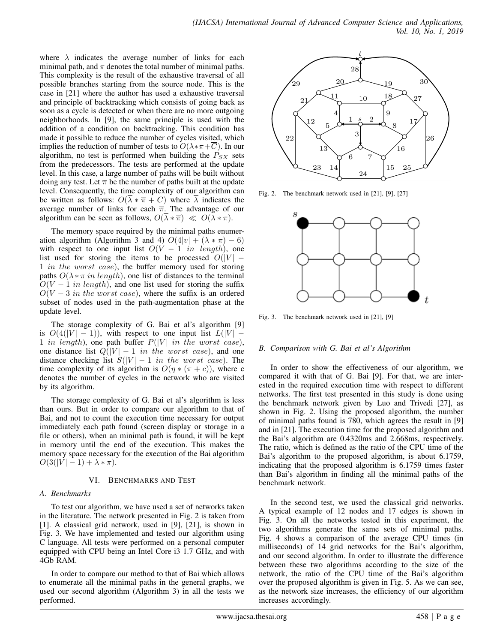where  $\lambda$  indicates the average number of links for each minimal path, and  $\pi$  denotes the total number of minimal paths. This complexity is the result of the exhaustive traversal of all possible branches starting from the source node. This is the case in [21] where the author has used a exhaustive traversal and principle of backtracking which consists of going back as soon as a cycle is detected or when there are no more outgoing neighborhoods. In [9], the same principle is used with the addition of a condition on backtracking. This condition has made it possible to reduce the number of cycles visited, which implies the reduction of number of tests to  $O(\lambda * \pi + \overline{C})$ . In our algorithm, no test is performed when building the  $P_{SX}$  sets from the predecessors. The tests are performed at the update level. In this case, a large number of paths will be built without doing any test. Let  $\bar{\pi}$  be the number of paths built at the update level. Consequently, the time complexity of our algorithm can be written as follows:  $O(\overline{\lambda} * \overline{\pi} + C)$  where  $\overline{\lambda}$  indicates the average number of links for each  $\overline{\pi}$ . The advantage of our algorithm can be seen as follows,  $O(\overline{\lambda} * \overline{\pi}) \ll O(\overline{\lambda} * \pi)$ .

The memory space required by the minimal paths enumeration algorithm (Algorithm 3 and 4)  $O(4|v| + (\lambda * \pi) - 6)$ with respect to one input list  $O(V - 1$  in length), one list used for storing the items to be processed  $O(|V| -$ 1 in the worst case), the buffer memory used for storing paths  $O(\lambda * \pi in length)$ , one list of distances to the terminal  $O(V - 1$  in length), and one list used for storing the suffix  $O(V - 3$  in the worst case), where the suffix is an ordered subset of nodes used in the path-augmentation phase at the update level.

The storage complexity of G. Bai et al's algorithm [9] is  $O(4(|V| - 1))$ , with respect to one input list  $L(|V| - 1)$ 1 in length), one path buffer  $P(|V|$  in the worst case), one distance list  $Q(|V| - 1$  in the worst case), and one distance checking list  $S(|V| - 1$  in the worst case). The time complexity of its algorithm is  $O(\eta * (\pi + c))$ , where c denotes the number of cycles in the network who are visited by its algorithm.

The storage complexity of G. Bai et al's algorithm is less than ours. But in order to compare our algorithm to that of Bai, and not to count the execution time necessary for output immediately each path found (screen display or storage in a file or others), when an minimal path is found, it will be kept in memory until the end of the execution. This makes the memory space necessary for the execution of the Bai algorithm  $O(3(|V|-1)+\lambda*\pi).$ 

## VI. BENCHMARKS AND TEST

## *A. Benchmarks*

To test our algorithm, we have used a set of networks taken in the literature. The network presented in Fig. 2 is taken from [1]. A classical grid network, used in [9], [21], is shown in Fig. 3. We have implemented and tested our algorithm using C language. All tests were performed on a personal computer equipped with CPU being an Intel Core i3 1.7 GHz, and with 4Gb RAM.

In order to compare our method to that of Bai which allows to enumerate all the minimal paths in the general graphs, we used our second algorithm (Algorithm 3) in all the tests we performed.



Fig. 2. The benchmark network used in [21], [9], [27]



Fig. 3. The benchmark network used in [21], [9]

# *B. Comparison with G. Bai et al's Algorithm*

In order to show the effectiveness of our algorithm, we compared it with that of G. Bai [9]. For that, we are interested in the required execution time with respect to different networks. The first test presented in this study is done using the benchmark network given by Luo and Trivedi [27], as shown in Fig. 2. Using the proposed algorithm, the number of minimal paths found is 780, which agrees the result in [9] and in [21]. The execution time for the proposed algorithm and the Bai's algorithm are 0.4320ms and 2.668ms, respectively. The ratio, which is defined as the ratio of the CPU time of the Bai's algorithm to the proposed algorithm, is about 6.1759, indicating that the proposed algorithm is 6.1759 times faster than Bai's algorithm in finding all the minimal paths of the benchmark network.

In the second test, we used the classical grid networks. A typical example of 12 nodes and 17 edges is shown in Fig. 3. On all the networks tested in this experiment, the two algorithms generate the same sets of minimal paths. Fig. 4 shows a comparison of the average CPU times (in milliseconds) of 14 grid networks for the Bai's algorithm, and our second algorithm. In order to illustrate the difference between these two algorithms according to the size of the network, the ratio of the CPU time of the Bai's algorithm over the proposed algorithm is given in Fig. 5. As we can see, as the network size increases, the efficiency of our algorithm increases accordingly.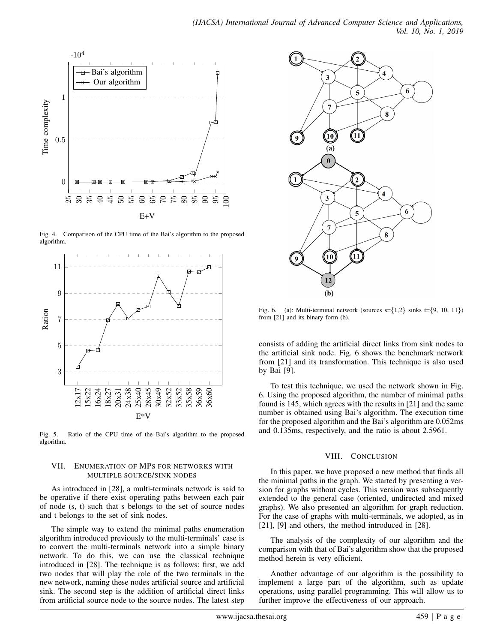

Fig. 4. Comparison of the CPU time of the Bai's algorithm to the proposed algorithm.



Fig. 5. Ratio of the CPU time of the Bai's algorithm to the proposed algorithm.

#### VII. ENUMERATION OF MPS FOR NETWORKS WITH MULTIPLE SOURCE/SINK NODES

As introduced in [28], a multi-terminals network is said to be operative if there exist operating paths between each pair of node (s, t) such that s belongs to the set of source nodes and t belongs to the set of sink nodes.

The simple way to extend the minimal paths enumeration algorithm introduced previously to the multi-terminals' case is to convert the multi-terminals network into a simple binary network. To do this, we can use the classical technique introduced in [28]. The technique is as follows: first, we add two nodes that will play the role of the two terminals in the new network, naming these nodes artificial source and artificial sink. The second step is the addition of artificial direct links from artificial source node to the source nodes. The latest step



Fig. 6. (a): Multi-terminal network (sources  $s = \{1,2\}$  sinks  $t = \{9, 10, 11\}$ ) from [21] and its binary form (b).

consists of adding the artificial direct links from sink nodes to the artificial sink node. Fig. 6 shows the benchmark network from [21] and its transformation. This technique is also used by Bai [9].

To test this technique, we used the network shown in Fig. 6. Using the proposed algorithm, the number of minimal paths found is 145, which agrees with the results in [21] and the same number is obtained using Bai's algorithm. The execution time for the proposed algorithm and the Bai's algorithm are 0.052ms and 0.135ms, respectively, and the ratio is about 2.5961.

## VIII. CONCLUSION

In this paper, we have proposed a new method that finds all the minimal paths in the graph. We started by presenting a version for graphs without cycles. This version was subsequently extended to the general case (oriented, undirected and mixed graphs). We also presented an algorithm for graph reduction. For the case of graphs with multi-terminals, we adopted, as in [21], [9] and others, the method introduced in [28].

The analysis of the complexity of our algorithm and the comparison with that of Bai's algorithm show that the proposed method herein is very efficient.

Another advantage of our algorithm is the possibility to implement a large part of the algorithm, such as update operations, using parallel programming. This will allow us to further improve the effectiveness of our approach.